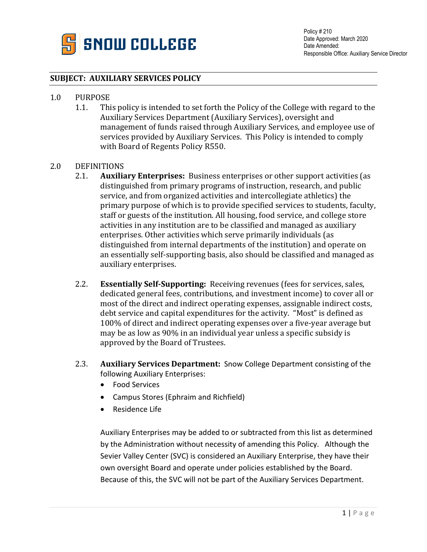

## **SUBJECT: AUXILIARY SERVICES POLICY**

## 1.0 PURPOSE<br>1.1. Th

This policy is intended to set forth the Policy of the College with regard to the Auxiliary Services Department (Auxiliary Services), oversight and management of funds raised through Auxiliary Services, and employee use of services provided by Auxiliary Services. This Policy is intended to comply with Board of Regents Policy R550.

## 2.0 DEFINITIONS<br>2.1. **Auxilia**

- 2.1. **Auxiliary Enterprises:** Business enterprises or other support activities (as distinguished from primary programs of instruction, research, and public service, and from organized activities and intercollegiate athletics) the primary purpose of which is to provide specified services to students, faculty, staff or guests of the institution. All housing, food service, and college store activities in any institution are to be classified and managed as auxiliary enterprises. Other activities which serve primarily individuals (as distinguished from internal departments of the institution) and operate on an essentially self-supporting basis, also should be classified and managed as auxiliary enterprises.
- 2.2. **Essentially Self-Supporting:** Receiving revenues (fees for services, sales, dedicated general fees, contributions, and investment income) to cover all or most of the direct and indirect operating expenses, assignable indirect costs, debt service and capital expenditures for the activity. "Most" is defined as 100% of direct and indirect operating expenses over a five-year average but may be as low as 90% in an individual year unless a specific subsidy is approved by the Board of Trustees.
- 2.3. **Auxiliary Services Department:** Snow College Department consisting of the following Auxiliary Enterprises:
	- Food Services
	- Campus Stores (Ephraim and Richfield)
	- Residence Life

Auxiliary Enterprises may be added to or subtracted from this list as determined by the Administration without necessity of amending this Policy. Although the Sevier Valley Center (SVC) is considered an Auxiliary Enterprise, they have their own oversight Board and operate under policies established by the Board. Because of this, the SVC will not be part of the Auxiliary Services Department.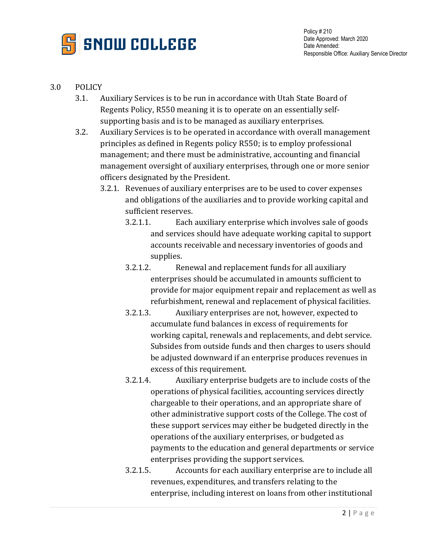

## 3.0 POLICY

- 3.1. Auxiliary Services is to be run in accordance with Utah State Board of Regents Policy, R550 meaning it is to operate on an essentially selfsupporting basis and is to be managed as auxiliary enterprises.
- 3.2. Auxiliary Services is to be operated in accordance with overall management principles as defined in Regents policy R550; is to employ professional management; and there must be administrative, accounting and financial management oversight of auxiliary enterprises, through one or more senior officers designated by the President.
	- 3.2.1. Revenues of auxiliary enterprises are to be used to cover expenses and obligations of the auxiliaries and to provide working capital and sufficient reserves.
		- 3.2.1.1. Each auxiliary enterprise which involves sale of goods and services should have adequate working capital to support accounts receivable and necessary inventories of goods and supplies.
		- 3.2.1.2. Renewal and replacement funds for all auxiliary enterprises should be accumulated in amounts sufficient to provide for major equipment repair and replacement as well as refurbishment, renewal and replacement of physical facilities.
		- 3.2.1.3. Auxiliary enterprises are not, however, expected to accumulate fund balances in excess of requirements for working capital, renewals and replacements, and debt service. Subsides from outside funds and then charges to users should be adjusted downward if an enterprise produces revenues in excess of this requirement.
		- 3.2.1.4. Auxiliary enterprise budgets are to include costs of the operations of physical facilities, accounting services directly chargeable to their operations, and an appropriate share of other administrative support costs of the College. The cost of these support services may either be budgeted directly in the operations of the auxiliary enterprises, or budgeted as payments to the education and general departments or service enterprises providing the support services.
		- 3.2.1.5. Accounts for each auxiliary enterprise are to include all revenues, expenditures, and transfers relating to the enterprise, including interest on loans from other institutional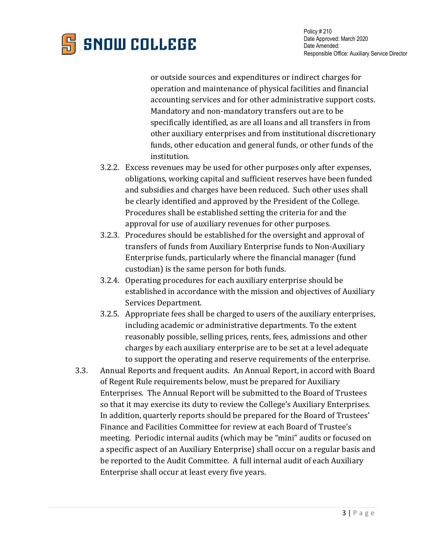

or outside sources and expenditures or indirect charges for operation and maintenance of physical facilities and financial accounting services and for other administrative support costs. Mandatory and non-mandatory transfers out are to be specifically identified, as are all loans and all transfers in from other auxiliary enterprises and from institutional discretionary funds, other education and general funds, or other funds of the institution.

- 3.2.2. Excess revenues may be used for other purposes only after expenses, obligations, working capital and sufficient reserves have been funded and subsidies and charges have been reduced. Such other uses shall be clearly identified and approved by the President of the College. Procedures shall be established setting the criteria for and the approval for use of auxiliary revenues for other purposes.
- 3.2.3. Procedures should be established for the oversight and approval of transfers of funds from Auxiliary Enterprise funds to Non-Auxiliary Enterprise funds, particularly where the financial manager (fund custodian) is the same person for both funds.
- 3.2.4. Operating procedures for each auxiliary enterprise should be established in accordance with the mission and objectives of Auxiliary Services Department.
- 3.2.5. Appropriate fees shall be charged to users of the auxiliary enterprises, including academic or administrative departments. To the extent reasonably possible, selling prices, rents, fees, admissions and other charges by each auxiliary enterprise are to be set at a level adequate to support the operating and reserve requirements of the enterprise.
- 3.3. Annual Reports and frequent audits. An Annual Report, in accord with Board of Regent Rule requirements below, must be prepared for Auxiliary Enterprises. The Annual Report will be submitted to the Board of Trustees so that it may exercise its duty to review the College's Auxiliary Enterprises. In addition, quarterly reports should be prepared for the Board of Trustees' Finance and Facilities Committee for review at each Board of Trustee's meeting. Periodic internal audits (which may be "mini" audits or focused on a specific aspect of an Auxiliary Enterprise) shall occur on a regular basis and be reported to the Audit Committee. A full internal audit of each Auxiliary Enterprise shall occur at least every five years.